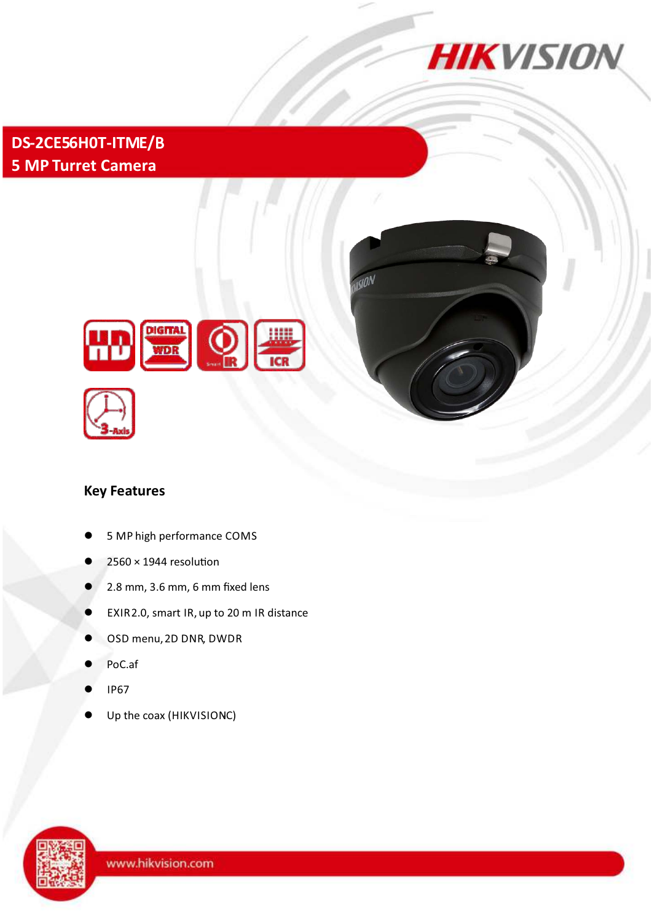

**DS-2CE56H0T-ITME/**B **5 MP Turret Camera**



# **Key Features**

HD

5 MP high performance COMS

**DIGITAL** 

Q

- $2560 \times 1944$  resolution
- l 2.8 mm, 3.6 mm, 6 mm fixed lens
- EXIR2.0, smart IR, up to 20 m IR distance
- OSD menu, 2D DNR, DWDR
- PoC.af
- l IP67
- Up the coax (HIKVISIONC)

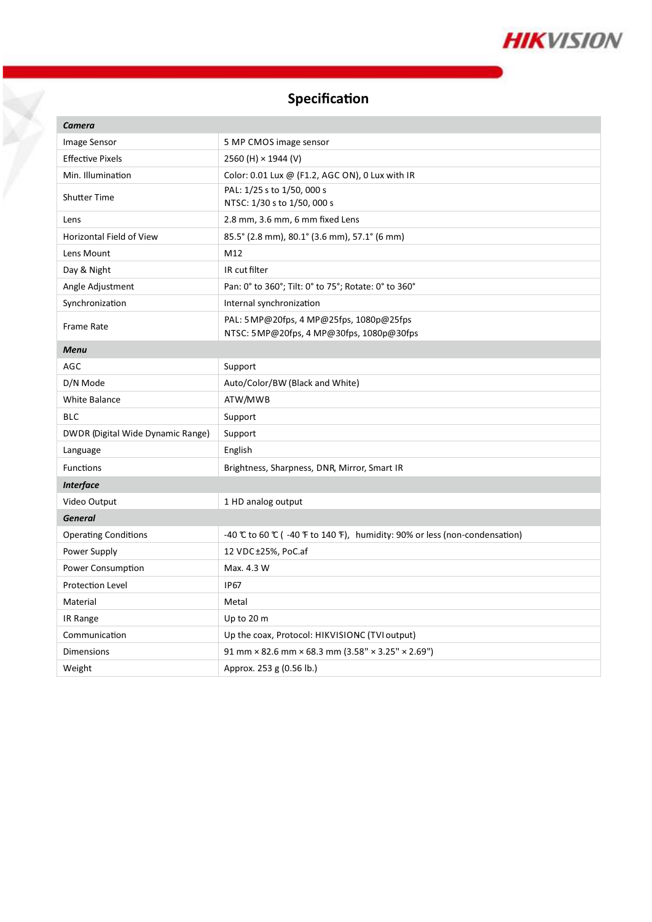

## **Specification**

Y

| <b>Camera</b>                     |                                                                                                                   |
|-----------------------------------|-------------------------------------------------------------------------------------------------------------------|
| Image Sensor                      | 5 MP CMOS image sensor                                                                                            |
| <b>Effective Pixels</b>           | 2560 (H) × 1944 (V)                                                                                               |
| Min. Illumination                 | Color: 0.01 Lux @ (F1.2, AGC ON), 0 Lux with IR                                                                   |
| <b>Shutter Time</b>               | PAL: 1/25 s to 1/50, 000 s<br>NTSC: 1/30 s to 1/50, 000 s                                                         |
| Lens                              | 2.8 mm, 3.6 mm, 6 mm fixed Lens                                                                                   |
| <b>Horizontal Field of View</b>   | 85.5° (2.8 mm), 80.1° (3.6 mm), 57.1° (6 mm)                                                                      |
| Lens Mount                        | M12                                                                                                               |
| Day & Night                       | IR cut filter                                                                                                     |
| Angle Adjustment                  | Pan: 0° to 360°; Tilt: 0° to 75°; Rotate: 0° to 360°                                                              |
| Synchronization                   | Internal synchronization                                                                                          |
| <b>Frame Rate</b>                 | PAL: 5 MP@20fps, 4 MP@25fps, 1080p@25fps<br>NTSC: 5MP@20fps, 4 MP@30fps, 1080p@30fps                              |
| <b>Menu</b>                       |                                                                                                                   |
| AGC                               | Support                                                                                                           |
| D/N Mode                          | Auto/Color/BW (Black and White)                                                                                   |
| <b>White Balance</b>              | ATW/MWB                                                                                                           |
| <b>BLC</b>                        | Support                                                                                                           |
| DWDR (Digital Wide Dynamic Range) | Support                                                                                                           |
| Language                          | English                                                                                                           |
| Functions                         | Brightness, Sharpness, DNR, Mirror, Smart IR                                                                      |
| <b>Interface</b>                  |                                                                                                                   |
| Video Output                      | 1 HD analog output                                                                                                |
| <b>General</b>                    |                                                                                                                   |
| <b>Operating Conditions</b>       | -40 $\mathbb C$ to 60 $\mathbb C$ (-40 $\mathbb F$ to 140 $\mathbb F$ ), humidity: 90% or less (non-condensation) |
| Power Supply                      | 12 VDC±25%, PoC.af                                                                                                |
| <b>Power Consumption</b>          | Max. 4.3 W                                                                                                        |
| Protection Level                  | <b>IP67</b>                                                                                                       |
| Material                          | Metal                                                                                                             |
| IR Range                          | Up to 20 m                                                                                                        |
| Communication                     | Up the coax, Protocol: HIKVISIONC (TVI output)                                                                    |
| Dimensions                        | 91 mm × 82.6 mm × 68.3 mm (3.58" × 3.25" × 2.69")                                                                 |
| Weight                            | Approx. 253 g (0.56 lb.)                                                                                          |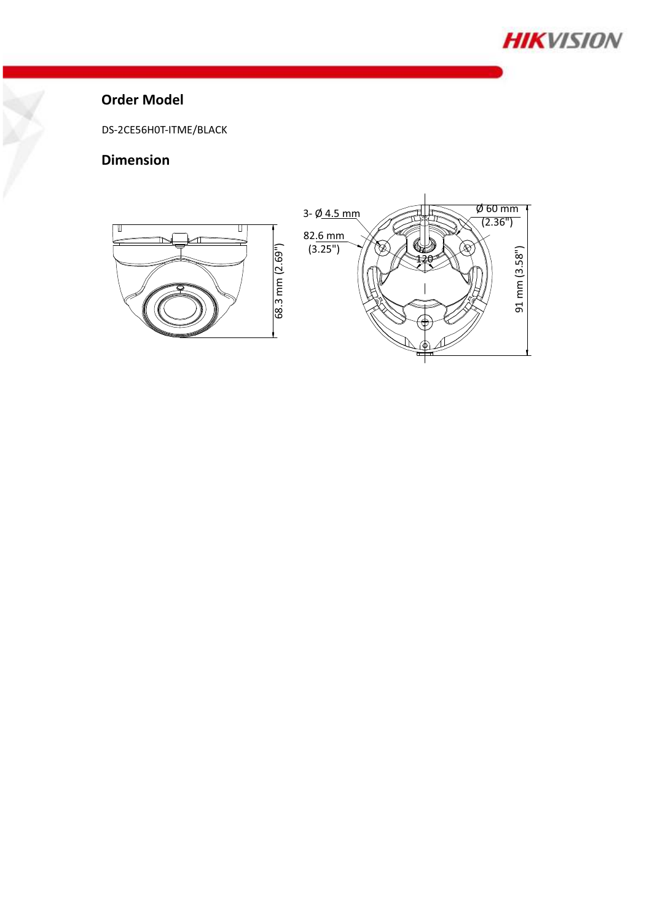

#### **Order Model**

DS-2CE56H0T-ITME/BLACK

### **Dimension**